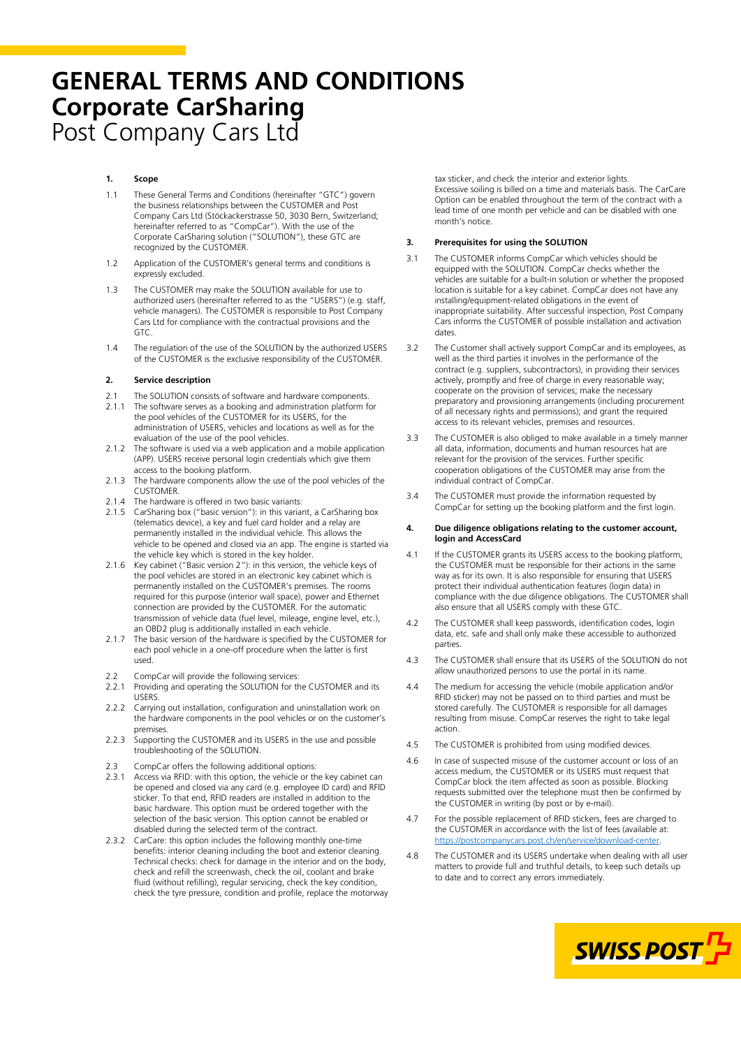# **GENERAL TERMS AND CONDITIONS Corporate CarSharing** Post Company Cars Ltd

# **1. Scope**

- 1.1 These General Terms and Conditions (hereinafter "GTC") govern the business relationships between the CUSTOMER and Post Company Cars Ltd (Stöckackerstrasse 50, 3030 Bern, Switzerland; hereinafter referred to as "CompCar"). With the use of the Corporate CarSharing solution ("SOLUTION"), these GTC are recognized by the CUSTOMER.
- 1.2 Application of the CUSTOMER's general terms and conditions is expressly excluded.
- 1.3 The CUSTOMER may make the SOLUTION available for use to authorized users (hereinafter referred to as the "USERS") (e.g. staff, vehicle managers). The CUSTOMER is responsible to Post Company Cars Ltd for compliance with the contractual provisions and the GTC.
- 1.4 The regulation of the use of the SOLUTION by the authorized USERS of the CUSTOMER is the exclusive responsibility of the CUSTOMER.

#### **2. Service description**

- 2.1 The SOLUTION consists of software and hardware components.
- 2.1.1 The software serves as a booking and administration platform for the pool vehicles of the CUSTOMER for its USERS, for the administration of USERS, vehicles and locations as well as for the evaluation of the use of the pool vehicles.
- 2.1.2 The software is used via a web application and a mobile application (APP). USERS receive personal login credentials which give them access to the booking platform.
- 2.1.3 The hardware components allow the use of the pool vehicles of the **CUSTOMER**
- 2.1.4 The hardware is offered in two basic variants:
- 2.1.5 CarSharing box ("basic version"): in this variant, a CarSharing box (telematics device), a key and fuel card holder and a relay are permanently installed in the individual vehicle. This allows the vehicle to be opened and closed via an app. The engine is started via the vehicle key which is stored in the key holder.
- 2.1.6 Key cabinet ("Basic version 2"): in this version, the vehicle keys of the pool vehicles are stored in an electronic key cabinet which is permanently installed on the CUSTOMER's premises. The rooms required for this purpose (interior wall space), power and Ethernet connection are provided by the CUSTOMER. For the automatic transmission of vehicle data (fuel level, mileage, engine level, etc.), an OBD2 plug is additionally installed in each vehicle.
- 2.1.7 The basic version of the hardware is specified by the CUSTOMER for each pool vehicle in a one-off procedure when the latter is first used.
- 2.2 CompCar will provide the following services:
- 2.2.1 Providing and operating the SOLUTION for the CUSTOMER and its USERS.
- 2.2.2 Carrying out installation, configuration and uninstallation work on the hardware components in the pool vehicles or on the customer's premises.
- 2.2.3 Supporting the CUSTOMER and its USERS in the use and possible troubleshooting of the SOLUTION.
- 2.3 CompCar offers the following additional options:
- 2.3.1 Access via RFID: with this option, the vehicle or the key cabinet can be opened and closed via any card (e.g. employee ID card) and RFID sticker. To that end, RFID readers are installed in addition to the basic hardware. This option must be ordered together with the selection of the basic version. This option cannot be enabled or disabled during the selected term of the contract.
- 2.3.2 CarCare: this option includes the following monthly one-time benefits: interior cleaning including the boot and exterior cleaning. Technical checks: check for damage in the interior and on the body, check and refill the screenwash, check the oil, coolant and brake fluid (without refilling), regular servicing, check the key condition, check the tyre pressure, condition and profile, replace the motorway

tax sticker, and check the interior and exterior lights. Excessive soiling is billed on a time and materials basis. The CarCare Option can be enabled throughout the term of the contract with a lead time of one month per vehicle and can be disabled with one month's notice.

#### **3. Prerequisites for using the SOLUTION**

- 3.1 The CUSTOMER informs CompCar which vehicles should be equipped with the SOLUTION. CompCar checks whether the vehicles are suitable for a built-in solution or whether the proposed location is suitable for a key cabinet. CompCar does not have any installing/equipment-related obligations in the event of inappropriate suitability. After successful inspection, Post Company Cars informs the CUSTOMER of possible installation and activation dates.
- 3.2 The Customer shall actively support CompCar and its employees, as well as the third parties it involves in the performance of the contract (e.g. suppliers, subcontractors), in providing their services actively, promptly and free of charge in every reasonable way; cooperate on the provision of services; make the necessary preparatory and provisioning arrangements (including procurement of all necessary rights and permissions); and grant the required access to its relevant vehicles, premises and resources.
- 3.3 The CUSTOMER is also obliged to make available in a timely manner all data, information, documents and human resources hat are relevant for the provision of the services. Further specific cooperation obligations of the CUSTOMER may arise from the individual contract of CompCar.
- 3.4 The CUSTOMER must provide the information requested by CompCar for setting up the booking platform and the first login.

#### **4. Due diligence obligations relating to the customer account, login and AccessCard**

- 4.1 If the CUSTOMER grants its USERS access to the booking platform, the CUSTOMER must be responsible for their actions in the same way as for its own. It is also responsible for ensuring that USERS protect their individual authentication features (login data) in compliance with the due diligence obligations. The CUSTOMER shall also ensure that all USERS comply with these GTC.
- 4.2 The CUSTOMER shall keep passwords, identification codes, login data, etc. safe and shall only make these accessible to authorized parties.
- 4.3 The CUSTOMER shall ensure that its USERS of the SOLUTION do not allow unauthorized persons to use the portal in its name.
- 4.4 The medium for accessing the vehicle (mobile application and/or RFID sticker) may not be passed on to third parties and must be stored carefully. The CUSTOMER is responsible for all damages resulting from misuse. CompCar reserves the right to take legal action.
- 4.5 The CUSTOMER is prohibited from using modified devices.
- 4.6 In case of suspected misuse of the customer account or loss of an access medium, the CUSTOMER or its USERS must request that CompCar block the item affected as soon as possible. Blocking requests submitted over the telephone must then be confirmed by the CUSTOMER in writing (by post or by e-mail).
- 4.7 For the possible replacement of RFID stickers, fees are charged to the CUSTOMER in accordance with the list of fees (available at: [https://postcompanycars.post.ch/en/service/download-center.](https://postcompanycars.post.ch/en/service/download-center)
- 4.8 The CUSTOMER and its USERS undertake when dealing with all user matters to provide full and truthful details, to keep such details up to date and to correct any errors immediately.

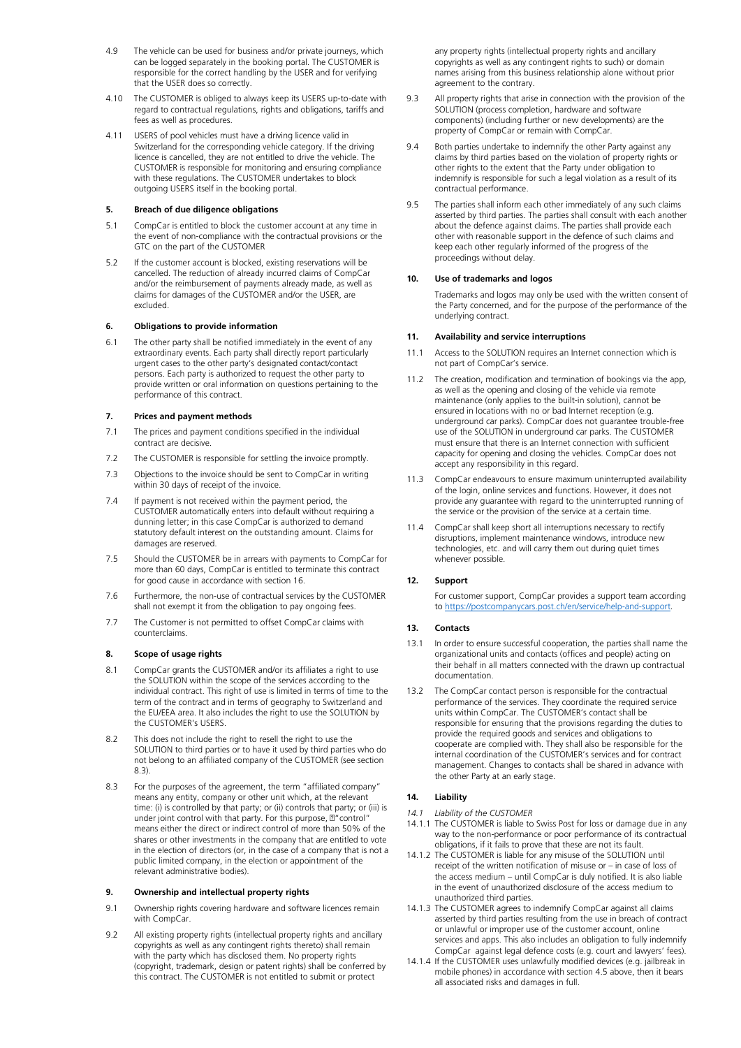- 4.9 The vehicle can be used for business and/or private journeys, which can be logged separately in the booking portal. The CUSTOMER is responsible for the correct handling by the USER and for verifying that the USER does so correctly.
- 4.10 The CUSTOMER is obliged to always keep its USERS up-to-date with regard to contractual regulations, rights and obligations, tariffs and fees as well as procedures.
- 4.11 USERS of pool vehicles must have a driving licence valid in Switzerland for the corresponding vehicle category. If the driving licence is cancelled, they are not entitled to drive the vehicle. The CUSTOMER is responsible for monitoring and ensuring compliance with these regulations. The CUSTOMER undertakes to block outgoing USERS itself in the booking portal.

# **5. Breach of due diligence obligations**

- 5.1 CompCar is entitled to block the customer account at any time in the event of non-compliance with the contractual provisions or the GTC on the part of the CUSTOMER
- 5.2 If the customer account is blocked, existing reservations will be cancelled. The reduction of already incurred claims of CompCar and/or the reimbursement of payments already made, as well as claims for damages of the CUSTOMER and/or the USER, are excluded.

# **6. Obligations to provide information**

6.1 The other party shall be notified immediately in the event of any extraordinary events. Each party shall directly report particularly urgent cases to the other party's designated contact/contact persons. Each party is authorized to request the other party to provide written or oral information on questions pertaining to the performance of this contract.

#### **7. Prices and payment methods**

- 7.1 The prices and payment conditions specified in the individual contract are decisive.
- 7.2 The CUSTOMER is responsible for settling the invoice promptly.
- 7.3 Objections to the invoice should be sent to CompCar in writing within 30 days of receipt of the invoice.
- 7.4 If payment is not received within the payment period, the CUSTOMER automatically enters into default without requiring a dunning letter; in this case CompCar is authorized to demand statutory default interest on the outstanding amount. Claims for damages are reserved.
- 7.5 Should the CUSTOMER be in arrears with payments to CompCar for more than 60 days, CompCar is entitled to terminate this contract for good cause in accordance with section 16.
- 7.6 Furthermore, the non-use of contractual services by the CUSTOMER shall not exempt it from the obligation to pay ongoing fees.
- 7.7 The Customer is not permitted to offset CompCar claims with counterclaims.

# **8. Scope of usage rights**

- 8.1 CompCar grants the CUSTOMER and/or its affiliates a right to use the SOLUTION within the scope of the services according to the individual contract. This right of use is limited in terms of time to the term of the contract and in terms of geography to Switzerland and the EU/EEA area. It also includes the right to use the SOLUTION by the CUSTOMER's USERS.
- 8.2 This does not include the right to resell the right to use the SOLUTION to third parties or to have it used by third parties who do not belong to an affiliated company of the CUSTOMER (see section 8.3).
- 8.3 For the purposes of the agreement, the term "affiliated company" means any entity, company or other unit which, at the relevant time: (i) is controlled by that party; or (ii) controls that party; or (iii) is under joint control with that party. For this purpose,  $2$  control' means either the direct or indirect control of more than 50% of the shares or other investments in the company that are entitled to vote in the election of directors (or, in the case of a company that is not a public limited company, in the election or appointment of the relevant administrative bodies).

#### **9. Ownership and intellectual property rights**

- 9.1 Ownership rights covering hardware and software licences remain with CompCar.
- 9.2 All existing property rights (intellectual property rights and ancillary copyrights as well as any contingent rights thereto) shall remain with the party which has disclosed them. No property rights (copyright, trademark, design or patent rights) shall be conferred by this contract. The CUSTOMER is not entitled to submit or protect

any property rights (intellectual property rights and ancillary copyrights as well as any contingent rights to such) or domain names arising from this business relationship alone without prior agreement to the contrary.

- 9.3 All property rights that arise in connection with the provision of the SOLUTION (process completion, hardware and software components) (including further or new developments) are the property of CompCar or remain with CompCar.
- 9.4 Both parties undertake to indemnify the other Party against any claims by third parties based on the violation of property rights or other rights to the extent that the Party under obligation to indemnify is responsible for such a legal violation as a result of its contractual performance.
- 9.5 The parties shall inform each other immediately of any such claims asserted by third parties. The parties shall consult with each another about the defence against claims. The parties shall provide each other with reasonable support in the defence of such claims and keep each other regularly informed of the progress of the proceedings without delay.

# **10. Use of trademarks and logos**

Trademarks and logos may only be used with the written consent of the Party concerned, and for the purpose of the performance of the underlying contract.

#### **11. Availability and service interruptions**

- 11.1 Access to the SOLUTION requires an Internet connection which is not part of CompCar's service.
- 11.2 The creation, modification and termination of bookings via the app, as well as the opening and closing of the vehicle via remote maintenance (only applies to the built-in solution), cannot be ensured in locations with no or bad Internet reception (e.g. underground car parks). CompCar does not guarantee trouble-free use of the SOLUTION in underground car parks. The CUSTOMER must ensure that there is an Internet connection with sufficient capacity for opening and closing the vehicles. CompCar does not accept any responsibility in this regard.
- 11.3 CompCar endeavours to ensure maximum uninterrupted availability of the login, online services and functions. However, it does not provide any guarantee with regard to the uninterrupted running of the service or the provision of the service at a certain time.
- 11.4 CompCar shall keep short all interruptions necessary to rectify disruptions, implement maintenance windows, introduce new technologies, etc. and will carry them out during quiet times whenever possible.

# **12. Support**

For customer support, CompCar provides a support team according t[o https://postcompanycars.post.ch/en/service/help-and-support.](https://postcompanycars.post.ch/en/service/help-and-support)

#### **13. Contacts**

- 13.1 In order to ensure successful cooperation, the parties shall name the organizational units and contacts (offices and people) acting on their behalf in all matters connected with the drawn up contractual documentation.
- 13.2 The CompCar contact person is responsible for the contractual performance of the services. They coordinate the required service units within CompCar. The CUSTOMER's contact shall be responsible for ensuring that the provisions regarding the duties to provide the required goods and services and obligations to cooperate are complied with. They shall also be responsible for the internal coordination of the CUSTOMER's services and for contract management. Changes to contacts shall be shared in advance with the other Party at an early stage.

# **14. Liability**

- *14.1 Liability of the CUSTOMER*
- 14.1.1 The CUSTOMER is liable to Swiss Post for loss or damage due in any way to the non-performance or poor performance of its contractual obligations, if it fails to prove that these are not its fault.
- 14.1.2 The CUSTOMER is liable for any misuse of the SOLUTION until receipt of the written notification of misuse or – in case of loss of the access medium – until CompCar is duly notified. It is also liable in the event of unauthorized disclosure of the access medium to unauthorized third parties.
- 14.1.3 The CUSTOMER agrees to indemnify CompCar against all claims asserted by third parties resulting from the use in breach of contract or unlawful or improper use of the customer account, online services and apps. This also includes an obligation to fully indemnify CompCar against legal defence costs (e.g. court and lawyers' fees).
- 14.1.4 If the CUSTOMER uses unlawfully modified devices (e.g. jailbreak in mobile phones) in accordance with section 4.5 above, then it bears all associated risks and damages in full.